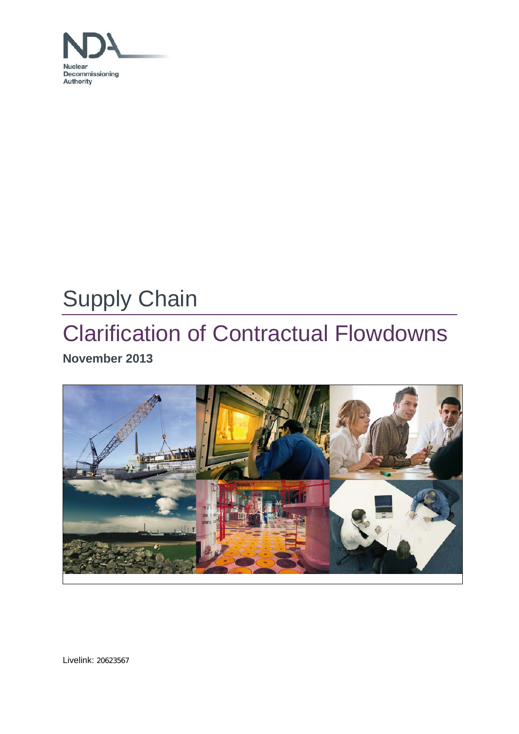

# Supply Chain

# Clarification of Contractual Flowdowns **November 2013**



Livelink: 20623567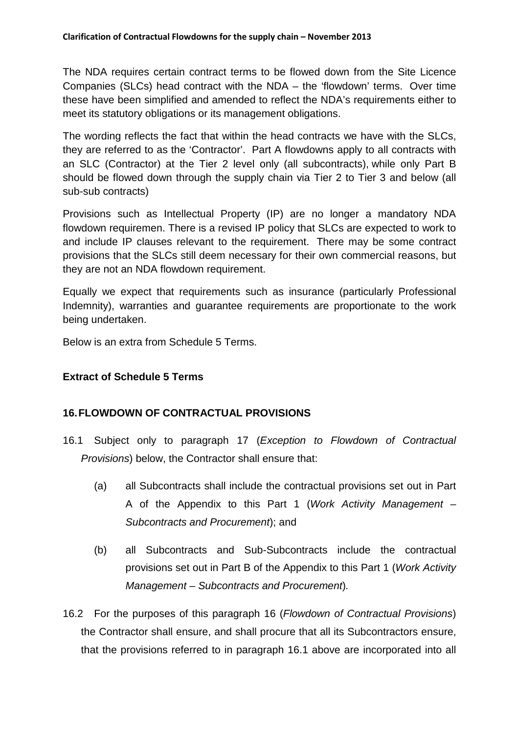The NDA requires certain contract terms to be flowed down from the Site Licence Companies (SLCs) head contract with the NDA – the 'flowdown' terms. Over time these have been simplified and amended to reflect the NDA's requirements either to meet its statutory obligations or its management obligations.

The wording reflects the fact that within the head contracts we have with the SLCs, they are referred to as the 'Contractor'. Part A flowdowns apply to all contracts with an SLC (Contractor) at the Tier 2 level only (all subcontracts), while only Part B should be flowed down through the supply chain via Tier 2 to Tier 3 and below (all sub-sub contracts)

Provisions such as Intellectual Property (IP) are no longer a mandatory NDA flowdown requiremen. There is a revised IP policy that SLCs are expected to work to and include IP clauses relevant to the requirement. There may be some contract provisions that the SLCs still deem necessary for their own commercial reasons, but they are not an NDA flowdown requirement.

Equally we expect that requirements such as insurance (particularly Professional Indemnity), warranties and guarantee requirements are proportionate to the work being undertaken.

Below is an extra from Schedule 5 Terms.

# **Extract of Schedule 5 Terms**

# **16.FLOWDOWN OF CONTRACTUAL PROVISIONS**

- 16.1 Subject only to paragraph 17 (*Exception to Flowdown of Contractual Provisions*) below, the Contractor shall ensure that:
	- (a) all Subcontracts shall include the contractual provisions set out in Part A of the Appendix to this Part 1 (*Work Activity Management – Subcontracts and Procurement*); and
	- (b) all Subcontracts and Sub-Subcontracts include the contractual provisions set out in Part B of the Appendix to this Part 1 (*Work Activity Management – Subcontracts and Procurement*)*.*
- 16.2 For the purposes of this paragraph 16 (*Flowdown of Contractual Provisions*) the Contractor shall ensure, and shall procure that all its Subcontractors ensure, that the provisions referred to in paragraph 16.1 above are incorporated into all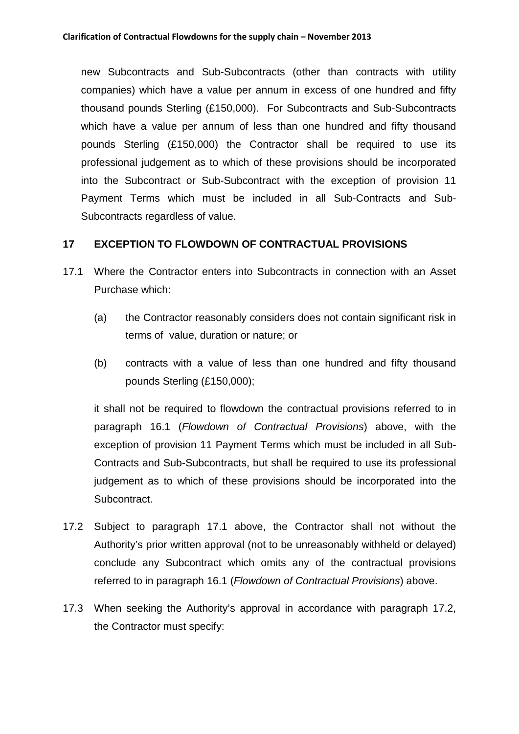new Subcontracts and Sub-Subcontracts (other than contracts with utility companies) which have a value per annum in excess of one hundred and fifty thousand pounds Sterling (£150,000). For Subcontracts and Sub-Subcontracts which have a value per annum of less than one hundred and fifty thousand pounds Sterling (£150,000) the Contractor shall be required to use its professional judgement as to which of these provisions should be incorporated into the Subcontract or Sub-Subcontract with the exception of provision 11 Payment Terms which must be included in all Sub-Contracts and Sub-Subcontracts regardless of value.

# **17 EXCEPTION TO FLOWDOWN OF CONTRACTUAL PROVISIONS**

- 17.1 Where the Contractor enters into Subcontracts in connection with an Asset Purchase which:
	- (a) the Contractor reasonably considers does not contain significant risk in terms of value, duration or nature; or
	- (b) contracts with a value of less than one hundred and fifty thousand pounds Sterling (£150,000);

it shall not be required to flowdown the contractual provisions referred to in paragraph 16.1 (*Flowdown of Contractual Provisions*) above, with the exception of provision 11 Payment Terms which must be included in all Sub-Contracts and Sub-Subcontracts, but shall be required to use its professional judgement as to which of these provisions should be incorporated into the Subcontract.

- 17.2 Subject to paragraph 17.1 above, the Contractor shall not without the Authority's prior written approval (not to be unreasonably withheld or delayed) conclude any Subcontract which omits any of the contractual provisions referred to in paragraph 16.1 (*Flowdown of Contractual Provisions*) above.
- 17.3 When seeking the Authority's approval in accordance with paragraph 17.2, the Contractor must specify: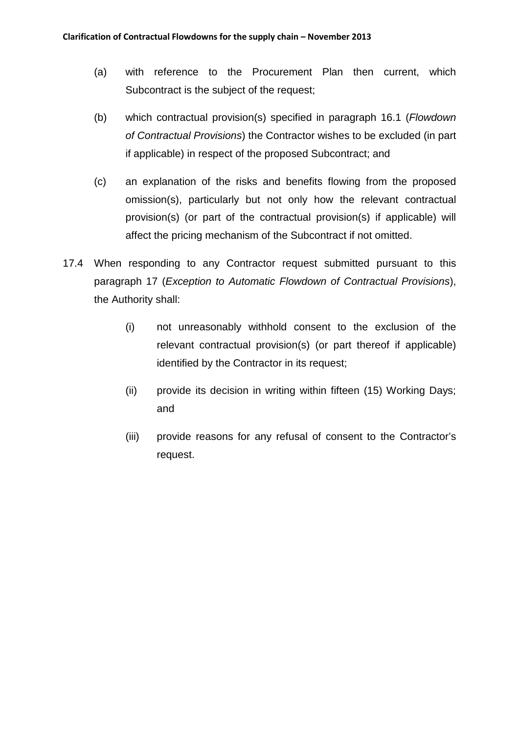- (a) with reference to the Procurement Plan then current, which Subcontract is the subject of the request;
- (b) which contractual provision(s) specified in paragraph 16.1 (*Flowdown of Contractual Provisions*) the Contractor wishes to be excluded (in part if applicable) in respect of the proposed Subcontract; and
- (c) an explanation of the risks and benefits flowing from the proposed omission(s), particularly but not only how the relevant contractual provision(s) (or part of the contractual provision(s) if applicable) will affect the pricing mechanism of the Subcontract if not omitted.
- 17.4 When responding to any Contractor request submitted pursuant to this paragraph 17 (*Exception to Automatic Flowdown of Contractual Provisions*), the Authority shall:
	- (i) not unreasonably withhold consent to the exclusion of the relevant contractual provision(s) (or part thereof if applicable) identified by the Contractor in its request;
	- (ii) provide its decision in writing within fifteen (15) Working Days; and
	- (iii) provide reasons for any refusal of consent to the Contractor's request.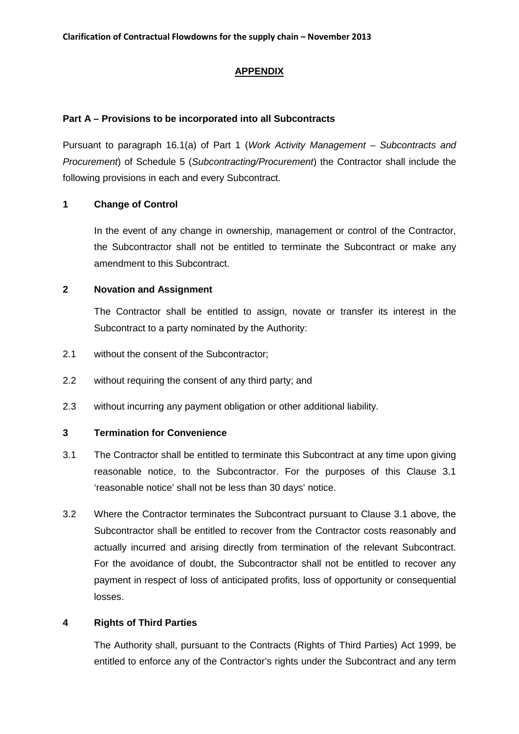#### **APPENDIX**

#### **Part A – Provisions to be incorporated into all Subcontracts**

Pursuant to paragraph 16.1(a) of Part 1 (*Work Activity Management – Subcontracts and Procurement*) of Schedule 5 (*Subcontracting/Procurement*) the Contractor shall include the following provisions in each and every Subcontract.

#### **1 Change of Control**

In the event of any change in ownership, management or control of the Contractor, the Subcontractor shall not be entitled to terminate the Subcontract or make any amendment to this Subcontract.

#### **2 Novation and Assignment**

The Contractor shall be entitled to assign, novate or transfer its interest in the Subcontract to a party nominated by the Authority:

- 2.1 without the consent of the Subcontractor;
- 2.2 without requiring the consent of any third party; and
- 2.3 without incurring any payment obligation or other additional liability.

#### **3 Termination for Convenience**

- 3.1 The Contractor shall be entitled to terminate this Subcontract at any time upon giving reasonable notice, to the Subcontractor. For the purposes of this Clause 3.1 'reasonable notice' shall not be less than 30 days' notice.
- 3.2 Where the Contractor terminates the Subcontract pursuant to Clause 3.1 above, the Subcontractor shall be entitled to recover from the Contractor costs reasonably and actually incurred and arising directly from termination of the relevant Subcontract. For the avoidance of doubt, the Subcontractor shall not be entitled to recover any payment in respect of loss of anticipated profits, loss of opportunity or consequential losses.

#### **4 Rights of Third Parties**

The Authority shall, pursuant to the Contracts (Rights of Third Parties) Act 1999, be entitled to enforce any of the Contractor's rights under the Subcontract and any term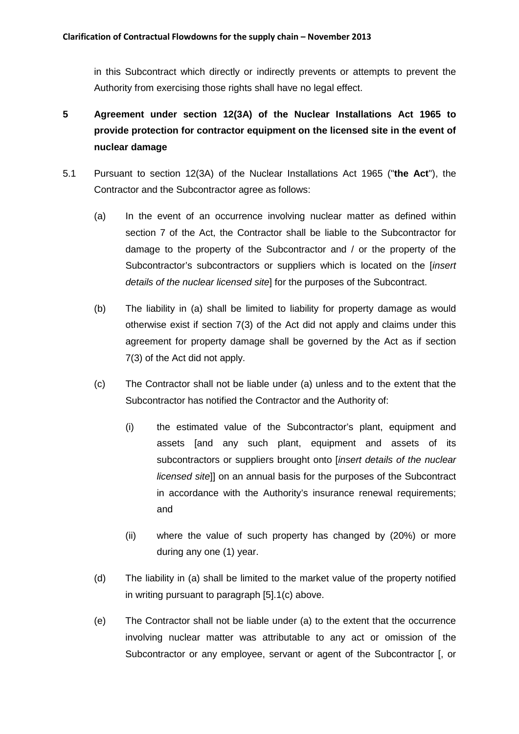in this Subcontract which directly or indirectly prevents or attempts to prevent the Authority from exercising those rights shall have no legal effect.

- **5 Agreement under section 12(3A) of the Nuclear Installations Act 1965 to provide protection for contractor equipment on the licensed site in the event of nuclear damage**
- 5.1 Pursuant to section 12(3A) of the Nuclear Installations Act 1965 ("**the Act**"), the Contractor and the Subcontractor agree as follows:
	- (a) In the event of an occurrence involving nuclear matter as defined within section 7 of the Act, the Contractor shall be liable to the Subcontractor for damage to the property of the Subcontractor and / or the property of the Subcontractor's subcontractors or suppliers which is located on the [*insert details of the nuclear licensed site*] for the purposes of the Subcontract.
	- (b) The liability in (a) shall be limited to liability for property damage as would otherwise exist if section 7(3) of the Act did not apply and claims under this agreement for property damage shall be governed by the Act as if section 7(3) of the Act did not apply.
	- (c) The Contractor shall not be liable under (a) unless and to the extent that the Subcontractor has notified the Contractor and the Authority of:
		- (i) the estimated value of the Subcontractor's plant, equipment and assets [and any such plant, equipment and assets of its subcontractors or suppliers brought onto [*insert details of the nuclear licensed site*]] on an annual basis for the purposes of the Subcontract in accordance with the Authority's insurance renewal requirements; and
		- (ii) where the value of such property has changed by (20%) or more during any one (1) year.
	- (d) The liability in (a) shall be limited to the market value of the property notified in writing pursuant to paragraph [5].1(c) above.
	- (e) The Contractor shall not be liable under (a) to the extent that the occurrence involving nuclear matter was attributable to any act or omission of the Subcontractor or any employee, servant or agent of the Subcontractor [, or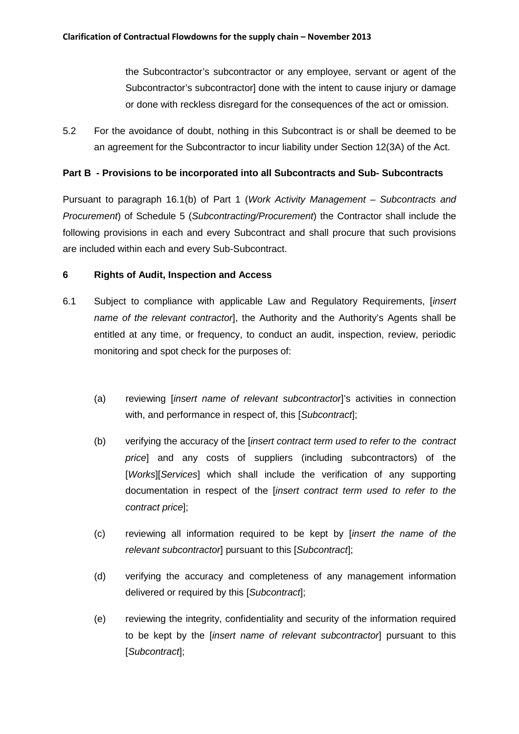the Subcontractor's subcontractor or any employee, servant or agent of the Subcontractor's subcontractor] done with the intent to cause injury or damage or done with reckless disregard for the consequences of the act or omission.

5.2 For the avoidance of doubt, nothing in this Subcontract is or shall be deemed to be an agreement for the Subcontractor to incur liability under Section 12(3A) of the Act.

#### **Part B - Provisions to be incorporated into all Subcontracts and Sub- Subcontracts**

Pursuant to paragraph 16.1(b) of Part 1 (*Work Activity Management – Subcontracts and Procurement*) of Schedule 5 (*Subcontracting/Procurement*) the Contractor shall include the following provisions in each and every Subcontract and shall procure that such provisions are included within each and every Sub-Subcontract.

#### **6 Rights of Audit, Inspection and Access**

- 6.1 Subject to compliance with applicable Law and Regulatory Requirements, [*insert name of the relevant contractor*], the Authority and the Authority's Agents shall be entitled at any time, or frequency, to conduct an audit, inspection, review, periodic monitoring and spot check for the purposes of:
	- (a) reviewing [*insert name of relevant subcontractor*]'s activities in connection with, and performance in respect of, this [*Subcontract*];
	- (b) verifying the accuracy of the [*insert contract term used to refer to the contract price*] and any costs of suppliers (including subcontractors) of the [*Works*][*Services*] which shall include the verification of any supporting documentation in respect of the [*insert contract term used to refer to the contract price*];
	- (c) reviewing all information required to be kept by [*insert the name of the relevant subcontractor*] pursuant to this [*Subcontract*];
	- (d) verifying the accuracy and completeness of any management information delivered or required by this [*Subcontract*];
	- (e) reviewing the integrity, confidentiality and security of the information required to be kept by the [*insert name of relevant subcontractor*] pursuant to this [*Subcontract*];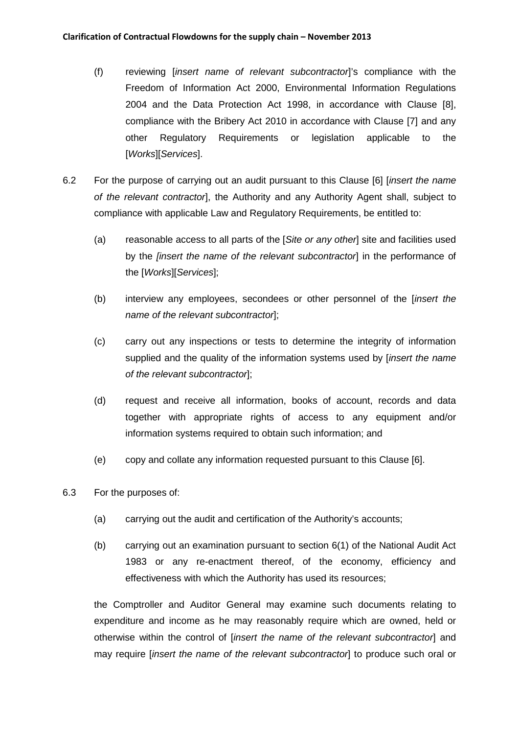- (f) reviewing [*insert name of relevant subcontractor*]'s compliance with the Freedom of Information Act 2000, Environmental Information Regulations 2004 and the Data Protection Act 1998, in accordance with Clause [8], compliance with the Bribery Act 2010 in accordance with Clause [7] and any other Regulatory Requirements or legislation applicable to the [*Works*][*Services*].
- 6.2 For the purpose of carrying out an audit pursuant to this Clause [6] [*insert the name of the relevant contractor*], the Authority and any Authority Agent shall, subject to compliance with applicable Law and Regulatory Requirements, be entitled to:
	- (a) reasonable access to all parts of the [*Site or any other*] site and facilities used by the *[insert the name of the relevant subcontractor*] in the performance of the [*Works*][*Services*];
	- (b) interview any employees, secondees or other personnel of the [*insert the name of the relevant subcontractor*];
	- (c) carry out any inspections or tests to determine the integrity of information supplied and the quality of the information systems used by [*insert the name of the relevant subcontractor*];
	- (d) request and receive all information, books of account, records and data together with appropriate rights of access to any equipment and/or information systems required to obtain such information; and
	- (e) copy and collate any information requested pursuant to this Clause [6].
- 6.3 For the purposes of:
	- (a) carrying out the audit and certification of the Authority's accounts;
	- (b) carrying out an examination pursuant to section 6(1) of the National Audit Act 1983 or any re-enactment thereof, of the economy, efficiency and effectiveness with which the Authority has used its resources;

the Comptroller and Auditor General may examine such documents relating to expenditure and income as he may reasonably require which are owned, held or otherwise within the control of [*insert the name of the relevant subcontractor*] and may require [*insert the name of the relevant subcontractor*] to produce such oral or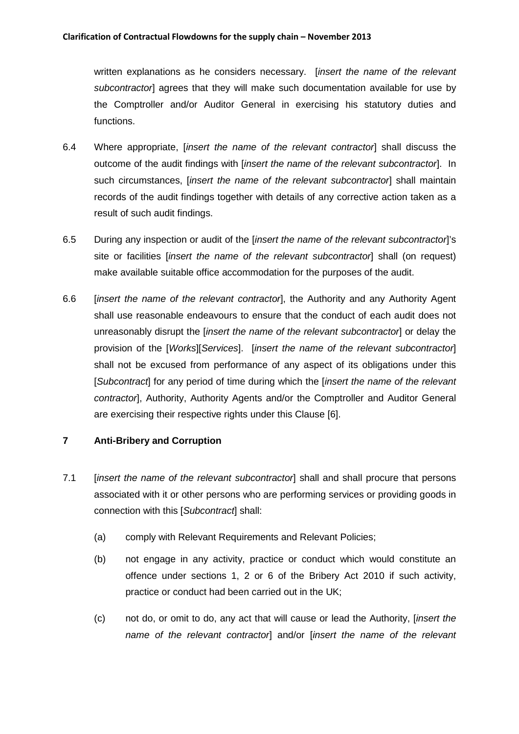written explanations as he considers necessary. [*insert the name of the relevant subcontractor*] agrees that they will make such documentation available for use by the Comptroller and/or Auditor General in exercising his statutory duties and functions.

- 6.4 Where appropriate, [*insert the name of the relevant contractor*] shall discuss the outcome of the audit findings with [*insert the name of the relevant subcontractor*]. In such circumstances, *linsert the name of the relevant subcontractor*] shall maintain records of the audit findings together with details of any corrective action taken as a result of such audit findings.
- 6.5 During any inspection or audit of the [*insert the name of the relevant subcontractor*]'s site or facilities [*insert the name of the relevant subcontractor*] shall (on request) make available suitable office accommodation for the purposes of the audit.
- 6.6 [*insert the name of the relevant contractor*], the Authority and any Authority Agent shall use reasonable endeavours to ensure that the conduct of each audit does not unreasonably disrupt the [*insert the name of the relevant subcontractor*] or delay the provision of the [*Works*][*Services*]. [*insert the name of the relevant subcontractor*] shall not be excused from performance of any aspect of its obligations under this [*Subcontract*] for any period of time during which the [*insert the name of the relevant contractor*], Authority, Authority Agents and/or the Comptroller and Auditor General are exercising their respective rights under this Clause [6].

# **7 Anti-Bribery and Corruption**

- 7.1 [*insert the name of the relevant subcontractor*] shall and shall procure that persons associated with it or other persons who are performing services or providing goods in connection with this [*Subcontract*] shall:
	- (a) comply with Relevant Requirements and Relevant Policies;
	- (b) not engage in any activity, practice or conduct which would constitute an offence under sections 1, 2 or 6 of the Bribery Act 2010 if such activity, practice or conduct had been carried out in the UK;
	- (c) not do, or omit to do, any act that will cause or lead the Authority, [*insert the name of the relevant contractor*] and/or [*insert the name of the relevant*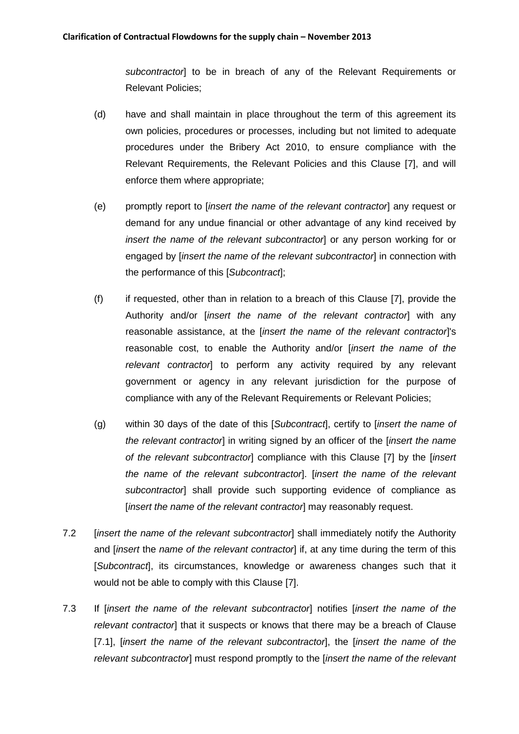*subcontractor*] to be in breach of any of the Relevant Requirements or Relevant Policies;

- (d) have and shall maintain in place throughout the term of this agreement its own policies, procedures or processes, including but not limited to adequate procedures under the Bribery Act 2010, to ensure compliance with the Relevant Requirements, the Relevant Policies and this Clause [7], and will enforce them where appropriate;
- (e) promptly report to [*insert the name of the relevant contractor*] any request or demand for any undue financial or other advantage of any kind received by *insert the name of the relevant subcontractor*] or any person working for or engaged by [*insert the name of the relevant subcontractor*] in connection with the performance of this [*Subcontract*];
- (f) if requested, other than in relation to a breach of this Clause [7], provide the Authority and/or [*insert the name of the relevant contractor*] with any reasonable assistance, at the [*insert the name of the relevant contractor*]'s reasonable cost, to enable the Authority and/or [*insert the name of the relevant contractor*] to perform any activity required by any relevant government or agency in any relevant jurisdiction for the purpose of compliance with any of the Relevant Requirements or Relevant Policies;
- (g) within 30 days of the date of this [*Subcontract*], certify to [*insert the name of the relevant contractor*] in writing signed by an officer of the [*insert the name of the relevant subcontractor*] compliance with this Clause [7] by the [*insert the name of the relevant subcontractor*]. [*insert the name of the relevant subcontractor*] shall provide such supporting evidence of compliance as [*insert the name of the relevant contractor*] may reasonably request.
- 7.2 [*insert the name of the relevant subcontractor*] shall immediately notify the Authority and [*insert* the *name of the relevant contractor*] if, at any time during the term of this [*Subcontract*], its circumstances, knowledge or awareness changes such that it would not be able to comply with this Clause [7].
- 7.3 If [*insert the name of the relevant subcontractor*] notifies [*insert the name of the relevant contractor*] that it suspects or knows that there may be a breach of Clause [7.1], [*insert the name of the relevant subcontractor*], the [*insert the name of the relevant subcontractor*] must respond promptly to the [*insert the name of the relevant*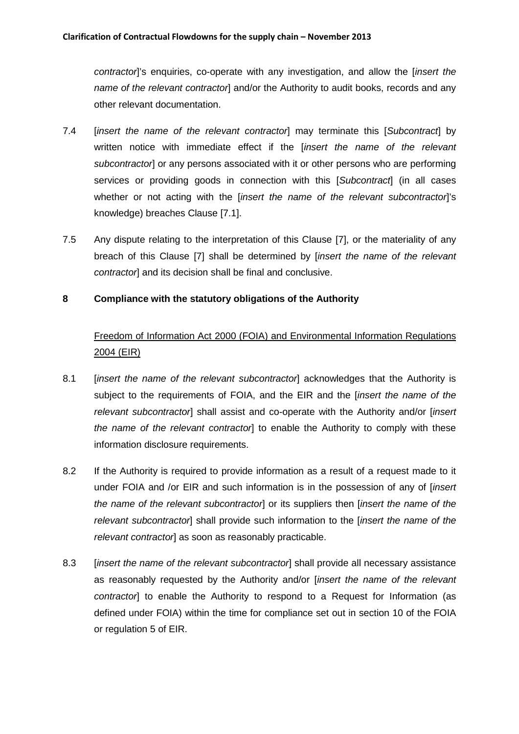*contractor*]'s enquiries, co-operate with any investigation, and allow the [*insert the name of the relevant contractor*] and/or the Authority to audit books, records and any other relevant documentation.

- 7.4 [*insert the name of the relevant contractor*] may terminate this [*Subcontract*] by written notice with immediate effect if the [*insert the name of the relevant subcontractor*] or any persons associated with it or other persons who are performing services or providing goods in connection with this [*Subcontract*] (in all cases whether or not acting with the *linsert the name of the relevant subcontractori's* knowledge) breaches Clause [7.1].
- 7.5 Any dispute relating to the interpretation of this Clause [7], or the materiality of any breach of this Clause [7] shall be determined by [*insert the name of the relevant contractor*] and its decision shall be final and conclusive.

# **8 Compliance with the statutory obligations of the Authority**

# Freedom of Information Act 2000 (FOIA) and Environmental Information Regulations 2004 (EIR)

- 8.1 [*insert the name of the relevant subcontractor*] acknowledges that the Authority is subject to the requirements of FOIA, and the EIR and the [*insert the name of the relevant subcontractor*] shall assist and co-operate with the Authority and/or [*insert the name of the relevant contractor*] to enable the Authority to comply with these information disclosure requirements.
- 8.2 If the Authority is required to provide information as a result of a request made to it under FOIA and /or EIR and such information is in the possession of any of [*insert the name of the relevant subcontractor*] or its suppliers then [*insert the name of the relevant subcontractor*] shall provide such information to the [*insert the name of the relevant contractor*] as soon as reasonably practicable.
- 8.3 [*insert the name of the relevant subcontractor*] shall provide all necessary assistance as reasonably requested by the Authority and/or [*insert the name of the relevant contractor*] to enable the Authority to respond to a Request for Information (as defined under FOIA) within the time for compliance set out in section 10 of the FOIA or regulation 5 of EIR.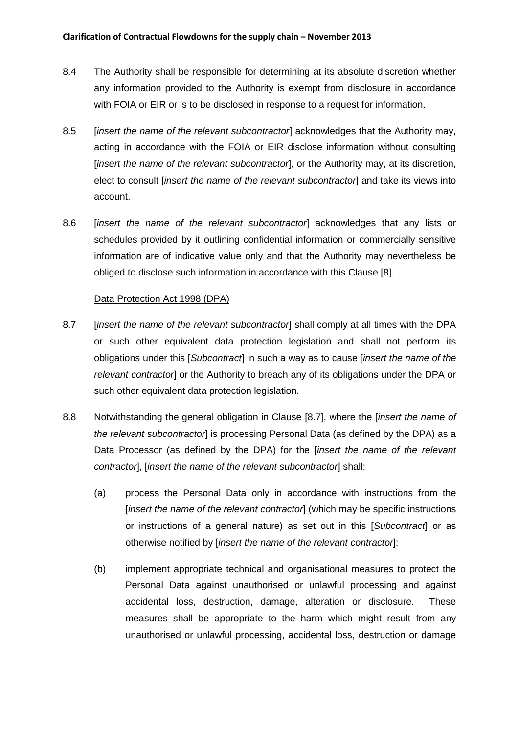- 8.4 The Authority shall be responsible for determining at its absolute discretion whether any information provided to the Authority is exempt from disclosure in accordance with FOIA or EIR or is to be disclosed in response to a request for information.
- 8.5 [*insert the name of the relevant subcontractor*] acknowledges that the Authority may, acting in accordance with the FOIA or EIR disclose information without consulting [*insert the name of the relevant subcontractor*], or the Authority may, at its discretion, elect to consult [*insert the name of the relevant subcontractor*] and take its views into account.
- 8.6 [*insert the name of the relevant subcontractor*] acknowledges that any lists or schedules provided by it outlining confidential information or commercially sensitive information are of indicative value only and that the Authority may nevertheless be obliged to disclose such information in accordance with this Clause [8].

#### Data Protection Act 1998 (DPA)

- 8.7 [*insert the name of the relevant subcontractor*] shall comply at all times with the DPA or such other equivalent data protection legislation and shall not perform its obligations under this [*Subcontract*] in such a way as to cause [*insert the name of the relevant contractor*] or the Authority to breach any of its obligations under the DPA or such other equivalent data protection legislation.
- 8.8 Notwithstanding the general obligation in Clause [8.7], where the [*insert the name of the relevant subcontractor*] is processing Personal Data (as defined by the DPA) as a Data Processor (as defined by the DPA) for the [*insert the name of the relevant contractor*], [*insert the name of the relevant subcontractor*] shall:
	- (a) process the Personal Data only in accordance with instructions from the [*insert the name of the relevant contractor*] (which may be specific instructions or instructions of a general nature) as set out in this [*Subcontract*] or as otherwise notified by [*insert the name of the relevant contractor*];
	- (b) implement appropriate technical and organisational measures to protect the Personal Data against unauthorised or unlawful processing and against accidental loss, destruction, damage, alteration or disclosure. These measures shall be appropriate to the harm which might result from any unauthorised or unlawful processing, accidental loss, destruction or damage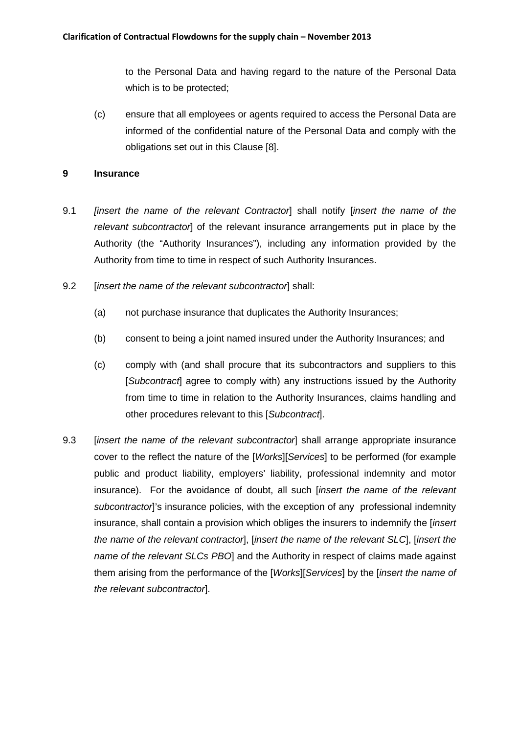to the Personal Data and having regard to the nature of the Personal Data which is to be protected;

(c) ensure that all employees or agents required to access the Personal Data are informed of the confidential nature of the Personal Data and comply with the obligations set out in this Clause [8].

#### **9 Insurance**

- 9.1 *[insert the name of the relevant Contractor*] shall notify [*insert the name of the relevant subcontractor*] of the relevant insurance arrangements put in place by the Authority (the "Authority Insurances"), including any information provided by the Authority from time to time in respect of such Authority Insurances.
- 9.2 [*insert the name of the relevant subcontractor*] shall:
	- (a) not purchase insurance that duplicates the Authority Insurances;
	- (b) consent to being a joint named insured under the Authority Insurances; and
	- (c) comply with (and shall procure that its subcontractors and suppliers to this [*Subcontract*] agree to comply with) any instructions issued by the Authority from time to time in relation to the Authority Insurances, claims handling and other procedures relevant to this [*Subcontract*].
- 9.3 [*insert the name of the relevant subcontractor*] shall arrange appropriate insurance cover to the reflect the nature of the [*Works*][*Services*] to be performed (for example public and product liability, employers' liability, professional indemnity and motor insurance). For the avoidance of doubt, all such [*insert the name of the relevant subcontractor*]'s insurance policies, with the exception of any professional indemnity insurance, shall contain a provision which obliges the insurers to indemnify the [*insert the name of the relevant contractor*], [*insert the name of the relevant SLC*], [*insert the name of the relevant SLCs PBO*] and the Authority in respect of claims made against them arising from the performance of the [*Works*][*Services*] by the [*insert the name of the relevant subcontractor*].